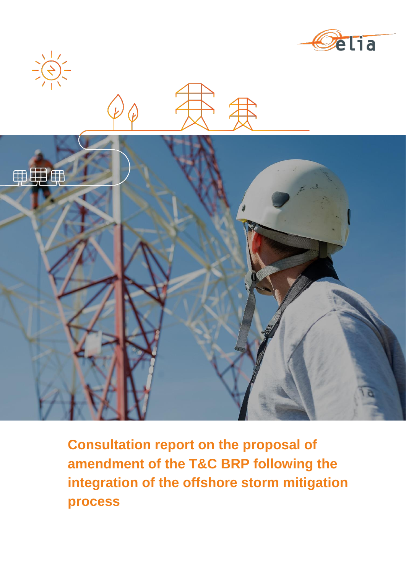



 $\frac{1}{\sqrt{2}}\left(\frac{1}{2}\right)^{2}-\frac{1}{2}\left(\frac{1}{2}\right)^{2}-\frac{1}{2}\left(\frac{1}{2}\right)^{2}-\frac{1}{2}\left(\frac{1}{2}\right)^{2}-\frac{1}{2}\left(\frac{1}{2}\right)^{2}-\frac{1}{2}\left(\frac{1}{2}\right)^{2}-\frac{1}{2}\left(\frac{1}{2}\right)^{2}-\frac{1}{2}\left(\frac{1}{2}\right)^{2}-\frac{1}{2}\left(\frac{1}{2}\right)^{2}-\frac{1}{2}\left(\frac{1}{2}\right)^{2}-\frac{1}{2}\left(\frac{1}{2}\right$ 

**Consultation report on the proposal of amendment of the T&C BRP following the integration of the offshore storm mitigation process**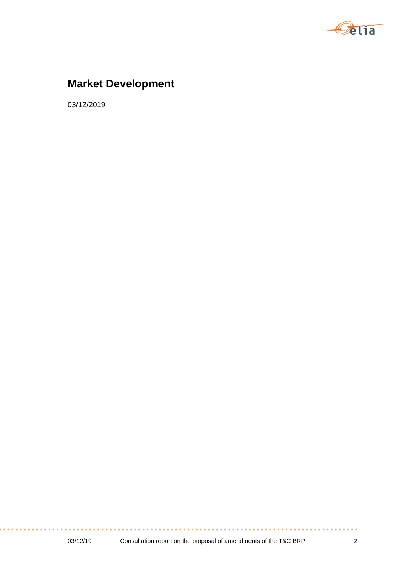

# **Market Development**

03/12/2019

. . . . . . . . . . . . . . . . .

. . . . .

. . . . . .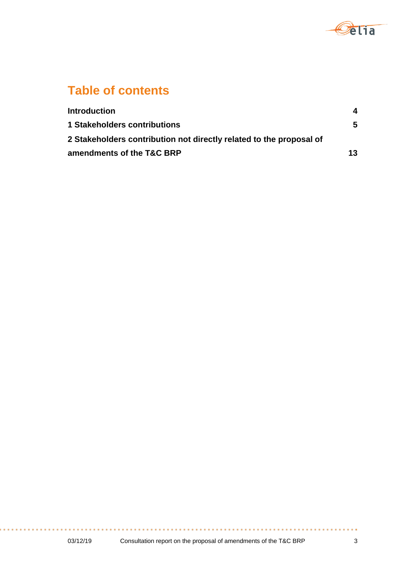

# **Table of contents**

| <b>Introduction</b>                                                 | 4  |
|---------------------------------------------------------------------|----|
| <b>1 Stakeholders contributions</b>                                 | 5  |
| 2 Stakeholders contribution not directly related to the proposal of |    |
| amendments of the T&C BRP                                           | 13 |

. . . . . . . . . . . . . . .

a a s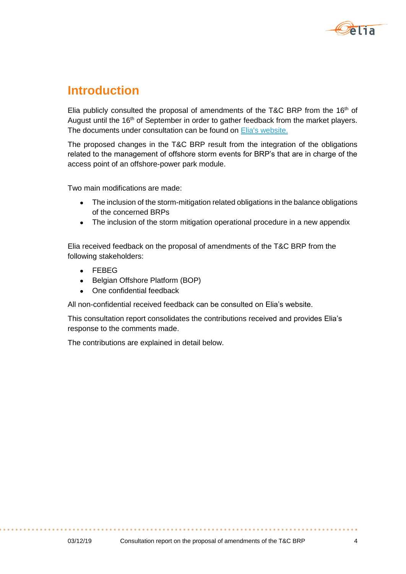

# **Introduction**

Elia publicly consulted the proposal of amendments of the T&C BRP from the  $16<sup>th</sup>$  of August until the 16<sup>th</sup> of September in order to gather feedback from the market players. The documents under consultation can be found on [Elia's website.](https://www.elia.be/en/public-consultation/20190816_public-consultation-tc-brp)

The proposed changes in the T&C BRP result from the integration of the obligations related to the management of offshore storm events for BRP's that are in charge of the access point of an offshore-power park module.

Two main modifications are made:

- The inclusion of the storm-mitigation related obligations in the balance obligations of the concerned BRPs
- The inclusion of the storm mitigation operational procedure in a new appendix

Elia received feedback on the proposal of amendments of the T&C BRP from the following stakeholders:

- FEBEG
- Belgian Offshore Platform (BOP)
- One confidential feedback

All non-confidential received feedback can be consulted on Elia's website.

This consultation report consolidates the contributions received and provides Elia's response to the comments made.

The contributions are explained in detail below.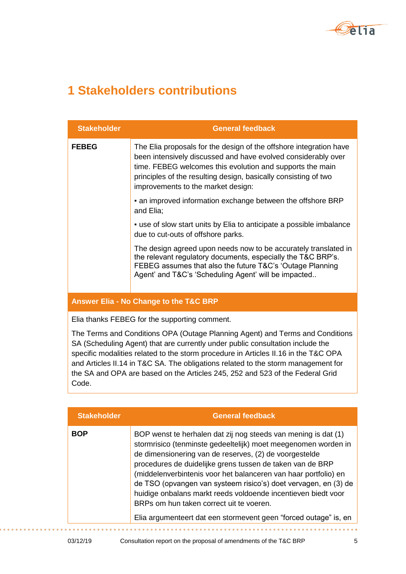

# **1 Stakeholders contributions**

| <b>Stakeholder</b> | <b>General feedback</b>                                                                                                                                                                                                                                                                                   |
|--------------------|-----------------------------------------------------------------------------------------------------------------------------------------------------------------------------------------------------------------------------------------------------------------------------------------------------------|
| <b>FEBEG</b>       | The Elia proposals for the design of the offshore integration have<br>been intensively discussed and have evolved considerably over<br>time. FEBEG welcomes this evolution and supports the main<br>principles of the resulting design, basically consisting of two<br>improvements to the market design: |
|                    | • an improved information exchange between the offshore BRP<br>and Elia;                                                                                                                                                                                                                                  |
|                    | . use of slow start units by Elia to anticipate a possible imbalance<br>due to cut-outs of offshore parks.                                                                                                                                                                                                |
|                    | The design agreed upon needs now to be accurately translated in<br>the relevant regulatory documents, especially the T&C BRP's.<br>FEBEG assumes that also the future T&C's 'Outage Planning<br>Agent' and T&C's 'Scheduling Agent' will be impacted                                                      |
|                    | Answer Elia - No Change to the T&C BRP                                                                                                                                                                                                                                                                    |

Elia thanks FEBEG for the supporting comment.

The Terms and Conditions OPA (Outage Planning Agent) and Terms and Conditions SA (Scheduling Agent) that are currently under public consultation include the specific modalities related to the storm procedure in Articles II.16 in the T&C OPA and Articles II.14 in T&C SA. The obligations related to the storm management for the SA and OPA are based on the Articles 245, 252 and 523 of the Federal Grid Code.

| <b>Stakeholder</b> | <b>General feedback</b>                                                                                                                                                                                                                                                                                                                                                                                                                                                                                                                                                        |
|--------------------|--------------------------------------------------------------------------------------------------------------------------------------------------------------------------------------------------------------------------------------------------------------------------------------------------------------------------------------------------------------------------------------------------------------------------------------------------------------------------------------------------------------------------------------------------------------------------------|
| <b>BOP</b>         | BOP wenst te herhalen dat zij nog steeds van mening is dat (1)<br>stormrisico (tenminste gedeeltelijk) moet meegenomen worden in<br>de dimensionering van de reserves, (2) de voorgestelde<br>procedures de duidelijke grens tussen de taken van de BRP<br>(middelenverbintenis voor het balanceren van haar portfolio) en<br>de TSO (opvangen van systeem risico's) doet vervagen, en (3) de<br>huidige onbalans markt reeds voldoende incentieven biedt voor<br>BRPs om hun taken correct uit te voeren.<br>Elia argumenteert dat een stormevent geen "forced outage" is, en |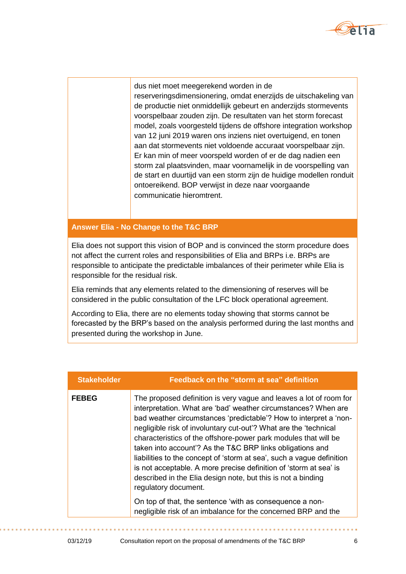

dus niet moet meegerekend worden in de reserveringsdimensionering, omdat enerzijds de uitschakeling van de productie niet onmiddellijk gebeurt en anderzijds stormevents voorspelbaar zouden zijn. De resultaten van het storm forecast model, zoals voorgesteld tijdens de offshore integration workshop van 12 juni 2019 waren ons inziens niet overtuigend, en tonen aan dat stormevents niet voldoende accuraat voorspelbaar zijn. Er kan min of meer voorspeld worden of er de dag nadien een storm zal plaatsvinden, maar voornamelijk in de voorspelling van de start en duurtijd van een storm zijn de huidige modellen ronduit ontoereikend. BOP verwijst in deze naar voorgaande communicatie hieromtrent.

### **Answer Elia - No Change to the T&C BRP**

Elia does not support this vision of BOP and is convinced the storm procedure does not affect the current roles and responsibilities of Elia and BRPs i.e. BRPs are responsible to anticipate the predictable imbalances of their perimeter while Elia is responsible for the residual risk.

Elia reminds that any elements related to the dimensioning of reserves will be considered in the public consultation of the LFC block operational agreement.

According to Elia, there are no elements today showing that storms cannot be forecasted by the BRP's based on the analysis performed during the last months and presented during the workshop in June.

| <b>Stakeholder</b> | Feedback on the "storm at sea" definition                                                                                                                                                                                                                                                                                                                                                                                                                                                                                                                                                                                                           |
|--------------------|-----------------------------------------------------------------------------------------------------------------------------------------------------------------------------------------------------------------------------------------------------------------------------------------------------------------------------------------------------------------------------------------------------------------------------------------------------------------------------------------------------------------------------------------------------------------------------------------------------------------------------------------------------|
| <b>FEBEG</b>       | The proposed definition is very vague and leaves a lot of room for<br>interpretation. What are 'bad' weather circumstances? When are<br>bad weather circumstances 'predictable'? How to interpret a 'non-<br>negligible risk of involuntary cut-out'? What are the 'technical<br>characteristics of the offshore-power park modules that will be<br>taken into account'? As the T&C BRP links obligations and<br>liabilities to the concept of 'storm at sea', such a vague definition<br>is not acceptable. A more precise definition of 'storm at sea' is<br>described in the Elia design note, but this is not a binding<br>regulatory document. |
|                    | On top of that, the sentence 'with as consequence a non-<br>negligible risk of an imbalance for the concerned BRP and the                                                                                                                                                                                                                                                                                                                                                                                                                                                                                                                           |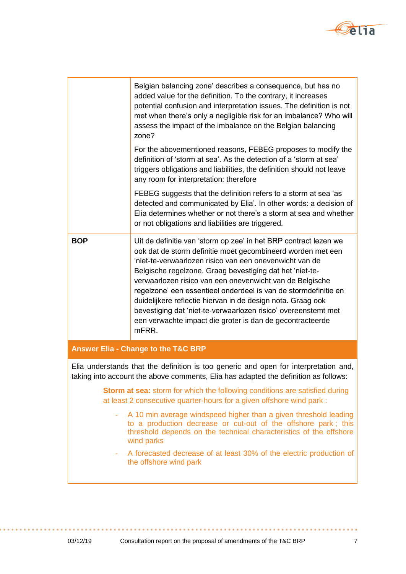

|            | Belgian balancing zone' describes a consequence, but has no<br>added value for the definition. To the contrary, it increases<br>potential confusion and interpretation issues. The definition is not<br>met when there's only a negligible risk for an imbalance? Who will<br>assess the impact of the imbalance on the Belgian balancing<br>zone?                                                                                                                                                                                                                                           |
|------------|----------------------------------------------------------------------------------------------------------------------------------------------------------------------------------------------------------------------------------------------------------------------------------------------------------------------------------------------------------------------------------------------------------------------------------------------------------------------------------------------------------------------------------------------------------------------------------------------|
|            | For the abovementioned reasons, FEBEG proposes to modify the<br>definition of 'storm at sea'. As the detection of a 'storm at sea'<br>triggers obligations and liabilities, the definition should not leave<br>any room for interpretation: therefore                                                                                                                                                                                                                                                                                                                                        |
|            | FEBEG suggests that the definition refers to a storm at sea 'as<br>detected and communicated by Elia'. In other words: a decision of<br>Elia determines whether or not there's a storm at sea and whether<br>or not obligations and liabilities are triggered.                                                                                                                                                                                                                                                                                                                               |
| <b>BOP</b> | Uit de definitie van 'storm op zee' in het BRP contract lezen we<br>ook dat de storm definitie moet gecombineerd worden met een<br>'niet-te-verwaarlozen risico van een onevenwicht van de<br>Belgische regelzone. Graag bevestiging dat het 'niet-te-<br>verwaarlozen risico van een onevenwicht van de Belgische<br>regelzone' een essentieel onderdeel is van de stormdefinitie en<br>duidelijkere reflectie hiervan in de design nota. Graag ook<br>bevestiging dat 'niet-te-verwaarlozen risico' overeenstemt met<br>een verwachte impact die groter is dan de gecontracteerde<br>mFRR. |

### **Answer Elia - Change to the T&C BRP**

Elia understands that the definition is too generic and open for interpretation and, taking into account the above comments, Elia has adapted the definition as follows:

> **Storm at sea:** storm for which the following conditions are satisfied during at least 2 consecutive quarter-hours for a given offshore wind park :

- A 10 min average windspeed higher than a given threshold leading to a production decrease or cut-out of the offshore park ; this threshold depends on the technical characteristics of the offshore wind parks
- A forecasted decrease of at least 30% of the electric production of the offshore wind park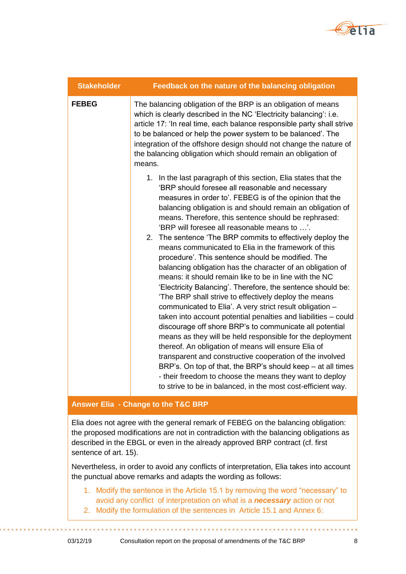

| <b>Stakeholder</b> | Feedback on the nature of the balancing obligation                                                                                                                                                                                                                                                                                                                                                                                                                                                                                                                                                                                                                                                                                                                                                                                                                                                                                                                                                                                                                                                                                                                                                                                                                                                                                               |
|--------------------|--------------------------------------------------------------------------------------------------------------------------------------------------------------------------------------------------------------------------------------------------------------------------------------------------------------------------------------------------------------------------------------------------------------------------------------------------------------------------------------------------------------------------------------------------------------------------------------------------------------------------------------------------------------------------------------------------------------------------------------------------------------------------------------------------------------------------------------------------------------------------------------------------------------------------------------------------------------------------------------------------------------------------------------------------------------------------------------------------------------------------------------------------------------------------------------------------------------------------------------------------------------------------------------------------------------------------------------------------|
| <b>FEBEG</b>       | The balancing obligation of the BRP is an obligation of means<br>which is clearly described in the NC 'Electricity balancing': i.e.<br>article 17: 'In real time, each balance responsible party shall strive<br>to be balanced or help the power system to be balanced'. The<br>integration of the offshore design should not change the nature of<br>the balancing obligation which should remain an obligation of<br>means.                                                                                                                                                                                                                                                                                                                                                                                                                                                                                                                                                                                                                                                                                                                                                                                                                                                                                                                   |
|                    | 1. In the last paragraph of this section, Elia states that the<br>'BRP should foresee all reasonable and necessary<br>measures in order to'. FEBEG is of the opinion that the<br>balancing obligation is and should remain an obligation of<br>means. Therefore, this sentence should be rephrased:<br>'BRP will foresee all reasonable means to '.<br>2. The sentence 'The BRP commits to effectively deploy the<br>means communicated to Elia in the framework of this<br>procedure'. This sentence should be modified. The<br>balancing obligation has the character of an obligation of<br>means: it should remain like to be in line with the NC<br>'Electricity Balancing'. Therefore, the sentence should be:<br>'The BRP shall strive to effectively deploy the means<br>communicated to Elia'. A very strict result obligation -<br>taken into account potential penalties and liabilities – could<br>discourage off shore BRP's to communicate all potential<br>means as they will be held responsible for the deployment<br>thereof. An obligation of means will ensure Elia of<br>transparent and constructive cooperation of the involved<br>BRP's. On top of that, the BRP's should keep - at all times<br>- their freedom to choose the means they want to deploy<br>to strive to be in balanced, in the most cost-efficient way. |

### **Answer Elia - Change to the T&C BRP**

Elia does not agree with the general remark of FEBEG on the balancing obligation: the proposed modifications are not in contradiction with the balancing obligations as described in the EBGL or even in the already approved BRP contract (cf. first sentence of art. 15).

Nevertheless, in order to avoid any conflicts of interpretation, Elia takes into account the punctual above remarks and adapts the wording as follows:

- 1. Modify the sentence in the Article 15.1 by removing the word "necessary" to avoid any conflict of interpretation on what is a *necessary* action or not
- 2. Modify the formulation of the sentences in Article 15.1 and Annex 6: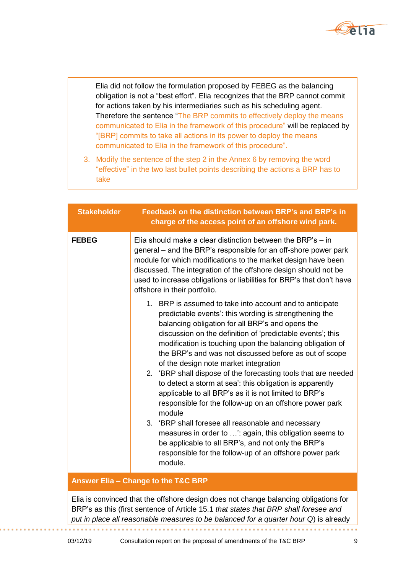

Elia did not follow the formulation proposed by FEBEG as the balancing obligation is not a "best effort". Elia recognizes that the BRP cannot commit for actions taken by his intermediaries such as his scheduling agent. Therefore the sentence "The BRP commits to effectively deploy the means communicated to Elia in the framework of this procedure" will be replaced by "[BRP] commits to take all actions in its power to deploy the means communicated to Elia in the framework of this procedure".

3. Modify the sentence of the step 2 in the Annex 6 by removing the word "effective" in the two last bullet points describing the actions a BRP has to take

| <b>Stakeholder</b> | Feedback on the distinction between BRP's and BRP's in<br>charge of the access point of an offshore wind park.                                                                                                                                                                                                                                                                                                                                                                                                                                                                                                                                                                                                                                                                                                                                                                                                |
|--------------------|---------------------------------------------------------------------------------------------------------------------------------------------------------------------------------------------------------------------------------------------------------------------------------------------------------------------------------------------------------------------------------------------------------------------------------------------------------------------------------------------------------------------------------------------------------------------------------------------------------------------------------------------------------------------------------------------------------------------------------------------------------------------------------------------------------------------------------------------------------------------------------------------------------------|
| <b>FEBEG</b>       | Elia should make a clear distinction between the BRP's $-$ in<br>general – and the BRP's responsible for an off-shore power park<br>module for which modifications to the market design have been<br>discussed. The integration of the offshore design should not be<br>used to increase obligations or liabilities for BRP's that don't have<br>offshore in their portfolio.                                                                                                                                                                                                                                                                                                                                                                                                                                                                                                                                 |
|                    | 1. BRP is assumed to take into account and to anticipate<br>predictable events': this wording is strengthening the<br>balancing obligation for all BRP's and opens the<br>discussion on the definition of 'predictable events'; this<br>modification is touching upon the balancing obligation of<br>the BRP's and was not discussed before as out of scope<br>of the design note market integration<br>2. 'BRP shall dispose of the forecasting tools that are needed<br>to detect a storm at sea': this obligation is apparently<br>applicable to all BRP's as it is not limited to BRP's<br>responsible for the follow-up on an offshore power park<br>module<br>3. 'BRP shall foresee all reasonable and necessary<br>measures in order to ': again, this obligation seems to<br>be applicable to all BRP's, and not only the BRP's<br>responsible for the follow-up of an offshore power park<br>module. |

#### **Answer Elia – Change to the T&C BRP**

Elia is convinced that the offshore design does not change balancing obligations for BRP's as this (first sentence of Article 15.1 *that states that BRP shall foresee and put in place all reasonable measures to be balanced for a quarter hour Q*) is already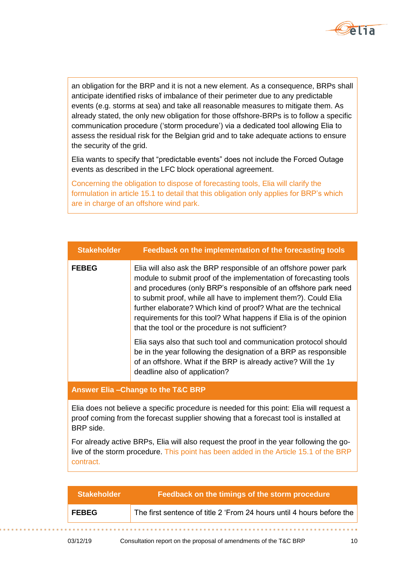

an obligation for the BRP and it is not a new element. As a consequence, BRPs shall anticipate identified risks of imbalance of their perimeter due to any predictable events (e.g. storms at sea) and take all reasonable measures to mitigate them. As already stated, the only new obligation for those offshore-BRPs is to follow a specific communication procedure ('storm procedure') via a dedicated tool allowing Elia to assess the residual risk for the Belgian grid and to take adequate actions to ensure the security of the grid.

Elia wants to specify that "predictable events" does not include the Forced Outage events as described in the LFC block operational agreement.

Concerning the obligation to dispose of forecasting tools, Elia will clarify the formulation in article 15.1 to detail that this obligation only applies for BRP's which are in charge of an offshore wind park.

| <b>Stakeholder</b>                           | Feedback on the implementation of the forecasting tools                                                                                                                                                                                                                                                                                                                                                                                                                  |
|----------------------------------------------|--------------------------------------------------------------------------------------------------------------------------------------------------------------------------------------------------------------------------------------------------------------------------------------------------------------------------------------------------------------------------------------------------------------------------------------------------------------------------|
| <b>FEBEG</b>                                 | Elia will also ask the BRP responsible of an offshore power park<br>module to submit proof of the implementation of forecasting tools<br>and procedures (only BRP's responsible of an offshore park need<br>to submit proof, while all have to implement them?). Could Elia<br>further elaborate? Which kind of proof? What are the technical<br>requirements for this tool? What happens if Elia is of the opinion<br>that the tool or the procedure is not sufficient? |
|                                              | Elia says also that such tool and communication protocol should<br>be in the year following the designation of a BRP as responsible<br>of an offshore. What if the BRP is already active? Will the 1y<br>deadline also of application?                                                                                                                                                                                                                                   |
| <b>Answer Elia-Change to the T&amp;C BRP</b> |                                                                                                                                                                                                                                                                                                                                                                                                                                                                          |

Elia does not believe a specific procedure is needed for this point: Elia will request a proof coming from the forecast supplier showing that a forecast tool is installed at BRP side.

For already active BRPs, Elia will also request the proof in the year following the golive of the storm procedure. This point has been added in the Article 15.1 of the BRP contract.

| <b>Stakeholder</b> | Feedback on the timings of the storm procedure                        |
|--------------------|-----------------------------------------------------------------------|
| <b>FEBEG</b>       | The first sentence of title 2 'From 24 hours until 4 hours before the |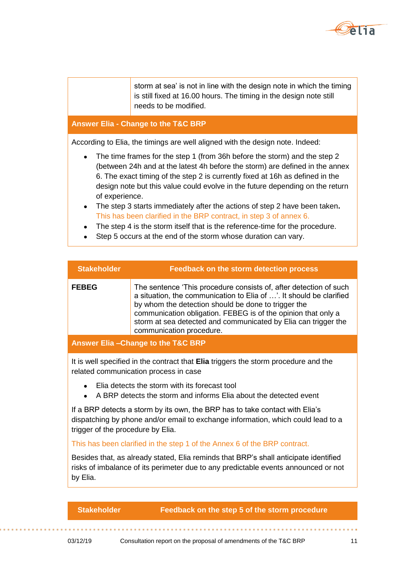

storm at sea' is not in line with the design note in which the timing is still fixed at 16.00 hours. The timing in the design note still needs to be modified.

#### **Answer Elia - Change to the T&C BRP**

According to Elia, the timings are well aligned with the design note. Indeed:

- The time frames for the step 1 (from 36h before the storm) and the step 2 (between 24h and at the latest 4h before the storm) are defined in the annex 6. The exact timing of the step 2 is currently fixed at 16h as defined in the design note but this value could evolve in the future depending on the return of experience.
- The step 3 starts immediately after the actions of step 2 have been taken**.**  This has been clarified in the BRP contract, in step 3 of annex 6.
- The step 4 is the storm itself that is the reference-time for the procedure.
- Step 5 occurs at the end of the storm whose duration can vary.

| <b>FEBEG</b><br>The sentence 'This procedure consists of, after detection of such<br>a situation, the communication to Elia of '. It should be clarified<br>by whom the detection should be done to trigger the<br>communication obligation. FEBEG is of the opinion that only a<br>storm at sea detected and communicated by Elia can trigger the | <b>Stakeholder</b> | <b>Feedback on the storm detection process</b> |
|----------------------------------------------------------------------------------------------------------------------------------------------------------------------------------------------------------------------------------------------------------------------------------------------------------------------------------------------------|--------------------|------------------------------------------------|
|                                                                                                                                                                                                                                                                                                                                                    |                    | communication procedure.                       |

**Answer Elia –Change to the T&C BRP**

It is well specified in the contract that **Elia** triggers the storm procedure and the related communication process in case

- Elia detects the storm with its forecast tool
- A BRP detects the storm and informs Elia about the detected event

If a BRP detects a storm by its own, the BRP has to take contact with Elia's dispatching by phone and/or email to exchange information, which could lead to a trigger of the procedure by Elia.

#### This has been clarified in the step 1 of the Annex 6 of the BRP contract.

Besides that, as already stated, Elia reminds that BRP's shall anticipate identified risks of imbalance of its perimeter due to any predictable events announced or not by Elia.

#### **Stakeholder Feedback on the step 5 of the storm procedure**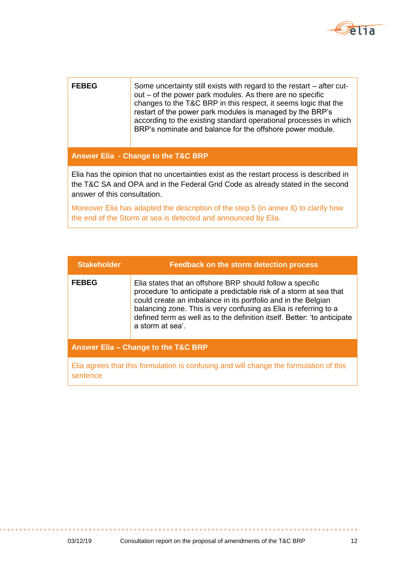

## **FEBEG** Some uncertainty still exists with regard to the restart – after cutout – of the power park modules. As there are no specific changes to the T&C BRP in this respect, it seems logic that the restart of the power park modules is managed by the BRP's according to the existing standard operational processes in which BRP's nominate and balance for the offshore power module.

### **Answer Elia - Change to the T&C BRP**

Elia has the opinion that no uncertainties exist as the restart process is described in the T&C SA and OPA and in the Federal Grid Code as already stated in the second answer of this consultation.

Moreover Elia has adapted the description of the step 5 (in annex 6) to clarify how the end of the Storm at sea is detected and announced by Elia.

| <b>Stakeholder</b>                  | <b>Feedback on the storm detection process</b>                                                                                                                                                                                                                                                                                                                       |
|-------------------------------------|----------------------------------------------------------------------------------------------------------------------------------------------------------------------------------------------------------------------------------------------------------------------------------------------------------------------------------------------------------------------|
| <b>FEBEG</b>                        | Elia states that an offshore BRP should follow a specific<br>procedure 'to anticipate a predictable risk of a storm at sea that<br>could create an imbalance in its portfolio and in the Belgian<br>balancing zone. This is very confusing as Elia is referring to a<br>defined term as well as to the definition itself. Better: 'to anticipate<br>a storm at sea'. |
| Answer Elia - Change to the T&C BRP |                                                                                                                                                                                                                                                                                                                                                                      |
| sentence                            | Elia agrees that this formulation is confusing and will change the formulation of this                                                                                                                                                                                                                                                                               |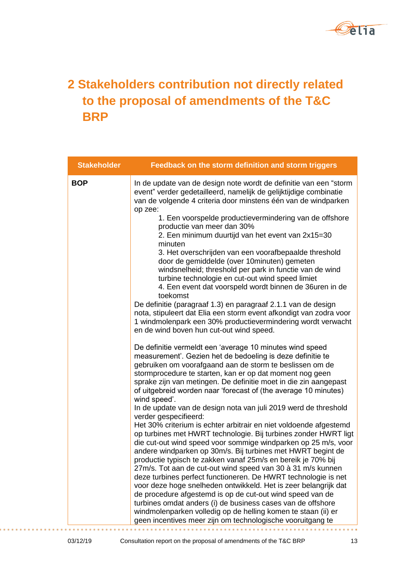

# **2 Stakeholders contribution not directly related to the proposal of amendments of the T&C BRP**

| <b>Stakeholder</b> | Feedback on the storm definition and storm triggers                                                                                                                                                                                                                                                                                                                                                   |
|--------------------|-------------------------------------------------------------------------------------------------------------------------------------------------------------------------------------------------------------------------------------------------------------------------------------------------------------------------------------------------------------------------------------------------------|
| <b>BOP</b>         | In de update van de design note wordt de definitie van een "storm<br>event" verder gedetailleerd, namelijk de gelijktijdige combinatie<br>van de volgende 4 criteria door minstens één van de windparken<br>op zee:                                                                                                                                                                                   |
|                    | 1. Een voorspelde productievermindering van de offshore<br>productie van meer dan 30%<br>2. Een minimum duurtijd van het event van 2x15=30<br>minuten                                                                                                                                                                                                                                                 |
|                    | 3. Het overschrijden van een voorafbepaalde threshold<br>door de gemiddelde (over 10minuten) gemeten<br>windsnelheid; threshold per park in functie van de wind<br>turbine technologie en cut-out wind speed limiet<br>4. Een event dat voorspeld wordt binnen de 36uren in de<br>toekomst                                                                                                            |
|                    | De definitie (paragraaf 1.3) en paragraaf 2.1.1 van de design<br>nota, stipuleert dat Elia een storm event afkondigt van zodra voor<br>1 windmolenpark een 30% productievermindering wordt verwacht<br>en de wind boven hun cut-out wind speed.                                                                                                                                                       |
|                    | De definitie vermeldt een 'average 10 minutes wind speed<br>measurement'. Gezien het de bedoeling is deze definitie te<br>gebruiken om voorafgaand aan de storm te beslissen om de<br>stormprocedure te starten, kan er op dat moment nog geen<br>sprake zijn van metingen. De definitie moet in die zin aangepast<br>of uitgebreid worden naar 'forecast of (the average 10 minutes)<br>wind speed'. |
|                    | In de update van de design nota van juli 2019 werd de threshold<br>verder gespecifieerd:                                                                                                                                                                                                                                                                                                              |
|                    | Het 30% criterium is echter arbitrair en niet voldoende afgestemd<br>op turbines met HWRT technologie. Bij turbines zonder HWRT ligt<br>die cut-out wind speed voor sommige windparken op 25 m/s, voor<br>andere windparken op 30m/s. Bij turbines met HWRT begint de<br>productie typisch te zakken vanaf 25m/s en bereik je 70% bij                                                                 |
|                    | 27m/s. Tot aan de cut-out wind speed van 30 à 31 m/s kunnen<br>deze turbines perfect functioneren. De HWRT technologie is net                                                                                                                                                                                                                                                                         |
|                    | voor deze hoge snelheden ontwikkeld. Het is zeer belangrijk dat<br>de procedure afgestemd is op de cut-out wind speed van de<br>turbines omdat anders (i) de business cases van de offshore                                                                                                                                                                                                           |
|                    | windmolenparken volledig op de helling komen te staan (ii) er<br>geen incentives meer zijn om technologische vooruitgang te                                                                                                                                                                                                                                                                           |

03/12/19 Consultation report on the proposal of amendments of the T&C BRP 13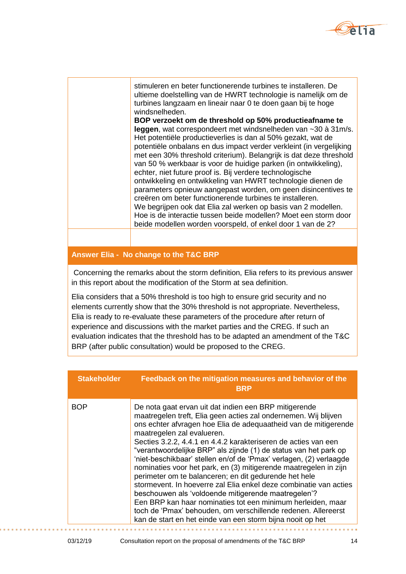

stimuleren en beter functionerende turbines te installeren. De ultieme doelstelling van de HWRT technologie is namelijk om de turbines langzaam en lineair naar 0 te doen gaan bij te hoge windsnelheden.

**BOP verzoekt om de threshold op 50% productieafname te leggen**, wat correspondeert met windsnelheden van ~30 à 31m/s. Het potentiële productieverlies is dan al 50% gezakt, wat de potentiële onbalans en dus impact verder verkleint (in vergelijking met een 30% threshold criterium). Belangrijk is dat deze threshold van 50 % werkbaar is voor de huidige parken (in ontwikkeling), echter, niet future proof is. Bij verdere technologische ontwikkeling en ontwikkeling van HWRT technologie dienen de parameters opnieuw aangepast worden, om geen disincentives te creëren om beter functionerende turbines te installeren. We begrijpen ook dat Elia zal werken op basis van 2 modellen. Hoe is de interactie tussen beide modellen? Moet een storm door beide modellen worden voorspeld, of enkel door 1 van de 2?

#### **Answer Elia - No change to the T&C BRP**

Concerning the remarks about the storm definition, Elia refers to its previous answer in this report about the modification of the Storm at sea definition.

Elia considers that a 50% threshold is too high to ensure grid security and no elements currently show that the 30% threshold is not appropriate. Nevertheless, Elia is ready to re-evaluate these parameters of the procedure after return of experience and discussions with the market parties and the CREG. If such an evaluation indicates that the threshold has to be adapted an amendment of the T&C BRP (after public consultation) would be proposed to the CREG.

| <b>Stakeholder</b> | Feedback on the mitigation measures and behavior of the<br><b>BRP</b>                                                                                                                                                                                                                                                                                                                                                                                                                                                                                                                                                                                                                                                                                                                                                                                                                        |
|--------------------|----------------------------------------------------------------------------------------------------------------------------------------------------------------------------------------------------------------------------------------------------------------------------------------------------------------------------------------------------------------------------------------------------------------------------------------------------------------------------------------------------------------------------------------------------------------------------------------------------------------------------------------------------------------------------------------------------------------------------------------------------------------------------------------------------------------------------------------------------------------------------------------------|
| <b>BOP</b>         | De nota gaat ervan uit dat indien een BRP mitigerende<br>maatregelen treft, Elia geen acties zal ondernemen. Wij blijven<br>ons echter afvragen hoe Elia de adequaatheid van de mitigerende<br>maatregelen zal evalueren.<br>Secties 3.2.2, 4.4.1 en 4.4.2 karakteriseren de acties van een<br>"verantwoordelijke BRP" als zijnde (1) de status van het park op<br>'niet-beschikbaar' stellen en/of de 'Pmax' verlagen, (2) verlaagde<br>nominaties voor het park, en (3) mitigerende maatregelen in zijn<br>perimeter om te balanceren; en dit gedurende het hele<br>stormevent. In hoeverre zal Elia enkel deze combinatie van acties<br>beschouwen als 'voldoende mitigerende maatregelen'?<br>Een BRP kan haar nominaties tot een minimum herleiden, maar<br>toch de 'Pmax' behouden, om verschillende redenen. Allereerst<br>kan de start en het einde van een storm bijna nooit op het |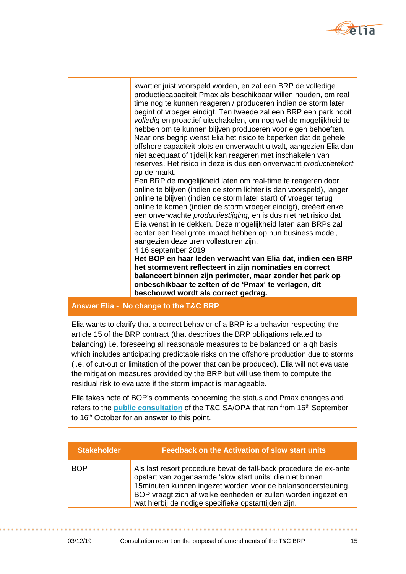

kwartier juist voorspeld worden, en zal een BRP de volledige productiecapaciteit Pmax als beschikbaar willen houden, om real time nog te kunnen reageren / produceren indien de storm later begint of vroeger eindigt. Ten tweede zal een BRP een park nooit *volledig* en proactief uitschakelen, om nog wel de mogelijkheid te hebben om te kunnen blijven produceren voor eigen behoeften. Naar ons begrip wenst Elia het risico te beperken dat de gehele offshore capaciteit plots en onverwacht uitvalt, aangezien Elia dan niet adequaat of tijdelijk kan reageren met inschakelen van reserves. Het risico in deze is dus een onverwacht *productietekort*  op de markt. Een BRP de mogelijkheid laten om real-time te reageren door online te blijven (indien de storm lichter is dan voorspeld), langer

online te blijven (indien de storm later start) of vroeger terug online te komen (indien de storm vroeger eindigt), creëert enkel een onverwachte *productiestijging*, en is dus niet het risico dat Elia wenst in te dekken. Deze mogelijkheid laten aan BRPs zal echter een heel grote impact hebben op hun business model, aangezien deze uren vollasturen zijn.

4 16 september 2019

**Het BOP en haar leden verwacht van Elia dat, indien een BRP het stormevent reflecteert in zijn nominaties en correct balanceert binnen zijn perimeter, maar zonder het park op onbeschikbaar te zetten of de 'Pmax' te verlagen, dit beschouwd wordt als correct gedrag.**

### **Answer Elia - No change to the T&C BRP**

Elia wants to clarify that a correct behavior of a BRP is a behavior respecting the article 15 of the BRP contract (that describes the BRP obligations related to balancing) i.e. foreseeing all reasonable measures to be balanced on a qh basis which includes anticipating predictable risks on the offshore production due to storms (i.e. of cut-out or limitation of the power that can be produced). Elia will not evaluate the mitigation measures provided by the BRP but will use them to compute the residual risk to evaluate if the storm impact is manageable.

Elia takes note of BOP's comments concerning the status and Pmax changes and refers to the **[public consultation](https://www.elia.be/en/public-consultation/20190916_public-consultation-on-the-terms-and-conditions-outage-planning-agent)** of the T&C SA/OPA that ran from 16th September to 16<sup>th</sup> October for an answer to this point.

| <b>Stakeholder</b> | <b>Feedback on the Activation of slow start units</b>                                                                                                                                                                                                                                                                    |
|--------------------|--------------------------------------------------------------------------------------------------------------------------------------------------------------------------------------------------------------------------------------------------------------------------------------------------------------------------|
| <b>BOP</b>         | Als last resort procedure bevat de fall-back procedure de ex-ante<br>opstart van zogenaamde 'slow start units' die niet binnen<br>15 minuten kunnen ingezet worden voor de balansondersteuning.<br>BOP vraagt zich af welke eenheden er zullen worden ingezet en<br>wat hierbij de nodige specifieke opstarttijden zijn. |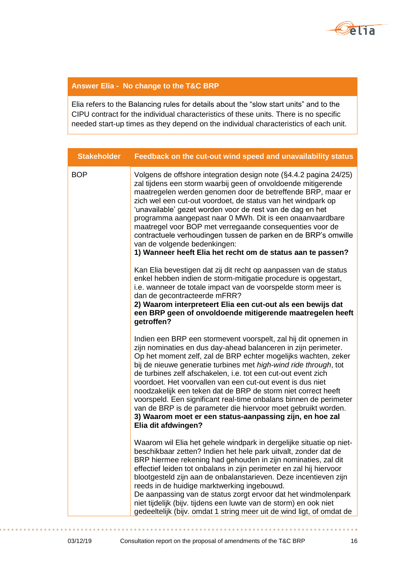

## **Answer Elia - No change to the T&C BRP**

Elia refers to the Balancing rules for details about the "slow start units" and to the CIPU contract for the individual characteristics of these units. There is no specific needed start-up times as they depend on the individual characteristics of each unit.

| <b>Stakeholder</b> | Feedback on the cut-out wind speed and unavailability status                                                                                                                                                                                                                                                                                                                                                                                                                                                                                                                                                                                                                                     |
|--------------------|--------------------------------------------------------------------------------------------------------------------------------------------------------------------------------------------------------------------------------------------------------------------------------------------------------------------------------------------------------------------------------------------------------------------------------------------------------------------------------------------------------------------------------------------------------------------------------------------------------------------------------------------------------------------------------------------------|
| <b>BOP</b>         | Volgens de offshore integration design note (§4.4.2 pagina 24/25)<br>zal tijdens een storm waarbij geen of onvoldoende mitigerende<br>maatregelen werden genomen door de betreffende BRP, maar er<br>zich wel een cut-out voordoet, de status van het windpark op<br>'unavailable' gezet worden voor de rest van de dag en het<br>programma aangepast naar 0 MWh. Dit is een onaanvaardbare<br>maatregel voor BOP met verregaande consequenties voor de<br>contractuele verhoudingen tussen de parken en de BRP's omwille<br>van de volgende bedenkingen:<br>1) Wanneer heeft Elia het recht om de status aan te passen?                                                                         |
|                    | Kan Elia bevestigen dat zij dit recht op aanpassen van de status<br>enkel hebben indien de storm-mitigatie procedure is opgestart,<br>i.e. wanneer de totale impact van de voorspelde storm meer is<br>dan de gecontracteerde mFRR?<br>2) Waarom interpreteert Elia een cut-out als een bewijs dat<br>een BRP geen of onvoldoende mitigerende maatregelen heeft<br>getroffen?                                                                                                                                                                                                                                                                                                                    |
|                    | Indien een BRP een stormevent voorspelt, zal hij dit opnemen in<br>zijn nominaties en dus day-ahead balanceren in zijn perimeter.<br>Op het moment zelf, zal de BRP echter mogelijks wachten, zeker<br>bij de nieuwe generatie turbines met high-wind ride through, tot<br>de turbines zelf afschakelen, i.e. tot een cut-out event zich<br>voordoet. Het voorvallen van een cut-out event is dus niet<br>noodzakelijk een teken dat de BRP de storm niet correct heeft<br>voorspeld. Een significant real-time onbalans binnen de perimeter<br>van de BRP is de parameter die hiervoor moet gebruikt worden.<br>3) Waarom moet er een status-aanpassing zijn, en hoe zal<br>Elia dit afdwingen? |
|                    | Waarom wil Elia het gehele windpark in dergelijke situatie op niet-<br>beschikbaar zetten? Indien het hele park uitvalt, zonder dat de<br>BRP hiermee rekening had gehouden in zijn nominaties, zal dit<br>effectief leiden tot onbalans in zijn perimeter en zal hij hiervoor<br>blootgesteld zijn aan de onbalanstarieven. Deze incentieven zijn<br>reeds in de huidige marktwerking ingebouwd.<br>De aanpassing van de status zorgt ervoor dat het windmolenpark<br>niet tijdelijk (bijv. tijdens een luwte van de storm) en ook niet<br>gedeeltelijk (bijv. omdat 1 string meer uit de wind ligt, of omdat de                                                                                |

**. . .**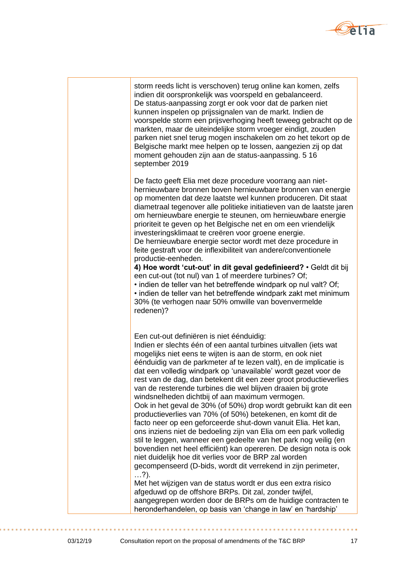

| storm reeds licht is verschoven) terug online kan komen, zelfs<br>indien dit oorspronkelijk was voorspeld en gebalanceerd.<br>De status-aanpassing zorgt er ook voor dat de parken niet<br>kunnen inspelen op prijssignalen van de markt. Indien de<br>voorspelde storm een prijsverhoging heeft teweeg gebracht op de<br>markten, maar de uiteindelijke storm vroeger eindigt, zouden<br>parken niet snel terug mogen inschakelen om zo het tekort op de<br>Belgische markt mee helpen op te lossen, aangezien zij op dat<br>moment gehouden zijn aan de status-aanpassing. 5 16<br>september 2019                                                                                                                                                                                                                                                                                                                                                                                                                                                                                                                                                                                                                                                                                                                            |
|--------------------------------------------------------------------------------------------------------------------------------------------------------------------------------------------------------------------------------------------------------------------------------------------------------------------------------------------------------------------------------------------------------------------------------------------------------------------------------------------------------------------------------------------------------------------------------------------------------------------------------------------------------------------------------------------------------------------------------------------------------------------------------------------------------------------------------------------------------------------------------------------------------------------------------------------------------------------------------------------------------------------------------------------------------------------------------------------------------------------------------------------------------------------------------------------------------------------------------------------------------------------------------------------------------------------------------|
| De facto geeft Elia met deze procedure voorrang aan niet-<br>hernieuwbare bronnen boven hernieuwbare bronnen van energie<br>op momenten dat deze laatste wel kunnen produceren. Dit staat<br>diametraal tegenover alle politieke initiatieven van de laatste jaren<br>om hernieuwbare energie te steunen, om hernieuwbare energie<br>prioriteit te geven op het Belgische net en om een vriendelijk<br>investeringsklimaat te creëren voor groene energie.<br>De hernieuwbare energie sector wordt met deze procedure in<br>feite gestraft voor de inflexibiliteit van andere/conventionele<br>productie-eenheden.<br>4) Hoe wordt 'cut-out' in dit geval gedefinieerd? . Geldt dit bij<br>een cut-out (tot nul) van 1 of meerdere turbines? Of;<br>. indien de teller van het betreffende windpark op nul valt? Of;<br>· indien de teller van het betreffende windpark zakt met minimum<br>30% (te verhogen naar 50% omwille van bovenvermelde<br>redenen)?                                                                                                                                                                                                                                                                                                                                                                   |
| Een cut-out definiëren is niet éénduidig:<br>Indien er slechts één of een aantal turbines uitvallen (iets wat<br>mogelijks niet eens te wijten is aan de storm, en ook niet<br>éénduidig van de parkmeter af te lezen valt), en de implicatie is<br>dat een volledig windpark op 'unavailable' wordt gezet voor de<br>rest van de dag, dan betekent dit een zeer groot productieverlies<br>van de resterende turbines die wel blijven draaien bij grote<br>windsnelheden dichtbij of aan maximum vermogen.<br>Ook in het geval de 30% (of 50%) drop wordt gebruikt kan dit een<br>productieverlies van 70% (of 50%) betekenen, en komt dit de<br>facto neer op een geforceerde shut-down vanuit Elia. Het kan,<br>ons inziens niet de bedoeling zijn van Elia om een park volledig<br>stil te leggen, wanneer een gedeelte van het park nog veilig (en<br>bovendien net heel efficiënt) kan opereren. De design nota is ook<br>niet duidelijk hoe dit verlies voor de BRP zal worden<br>gecompenseerd (D-bids, wordt dit verrekend in zijn perimeter,<br>$\ldots$ ?).<br>Met het wijzigen van de status wordt er dus een extra risico<br>afgeduwd op de offshore BRPs. Dit zal, zonder twijfel,<br>aangegrepen worden door de BRPs om de huidige contracten te<br>heronderhandelen, op basis van 'change in law' en 'hardship' |

. . . . . . . . . . . . . . . . .

÷

. . .

. . . . . . . .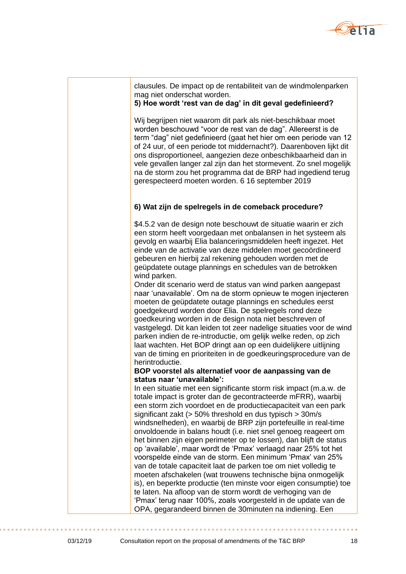

## clausules. De impact op de rentabiliteit van de windmolenparken mag niet onderschat worden.

## **5) Hoe wordt 'rest van de dag' in dit geval gedefinieerd?**

Wij begrijpen niet waarom dit park als niet-beschikbaar moet worden beschouwd "voor de rest van de dag". Allereerst is de term "dag" niet gedefinieerd (gaat het hier om een periode van 12 of 24 uur, of een periode tot middernacht?). Daarenboven lijkt dit ons disproportioneel, aangezien deze onbeschikbaarheid dan in vele gevallen langer zal zijn dan het stormevent. Zo snel mogelijk na de storm zou het programma dat de BRP had ingediend terug gerespecteerd moeten worden. 6 16 september 2019

## **6) Wat zijn de spelregels in de comeback procedure?**

\$4.5.2 van de design note beschouwt de situatie waarin er zich een storm heeft voorgedaan met onbalansen in het systeem als gevolg en waarbij Elia balanceringsmiddelen heeft ingezet. Het einde van de activatie van deze middelen moet gecoördineerd gebeuren en hierbij zal rekening gehouden worden met de geüpdatete outage plannings en schedules van de betrokken wind parken.

Onder dit scenario werd de status van wind parken aangepast naar 'unavailable'. Om na de storm opnieuw te mogen injecteren moeten de geüpdatete outage plannings en schedules eerst goedgekeurd worden door Elia. De spelregels rond deze goedkeuring worden in de design nota niet beschreven of vastgelegd. Dit kan leiden tot zeer nadelige situaties voor de wind parken indien de re-introductie, om gelijk welke reden, op zich laat wachten. Het BOP dringt aan op een duidelijkere uitlijning van de timing en prioriteiten in de goedkeuringsprocedure van de herintroductie.

#### **BOP voorstel als alternatief voor de aanpassing van de status naar 'unavailable':**

In een situatie met een significante storm risk impact (m.a.w. de totale impact is groter dan de gecontracteerde mFRR), waarbij een storm zich voordoet en de productiecapaciteit van een park significant zakt (> 50% threshold en dus typisch > 30m/s windsnelheden), en waarbij de BRP zijn portefeuille in real-time onvoldoende in balans houdt (i.e. niet snel genoeg reageert om het binnen zijn eigen perimeter op te lossen), dan blijft de status op 'available', maar wordt de 'Pmax' verlaagd naar 25% tot het voorspelde einde van de storm. Een minimum 'Pmax' van 25% van de totale capaciteit laat de parken toe om niet volledig te moeten afschakelen (wat trouwens technische bijna onmogelijk is), en beperkte productie (ten minste voor eigen consumptie) toe te laten. Na afloop van de storm wordt de verhoging van de 'Pmax' terug naar 100%, zoals voorgesteld in de update van de OPA, gegarandeerd binnen de 30minuten na indiening. Een